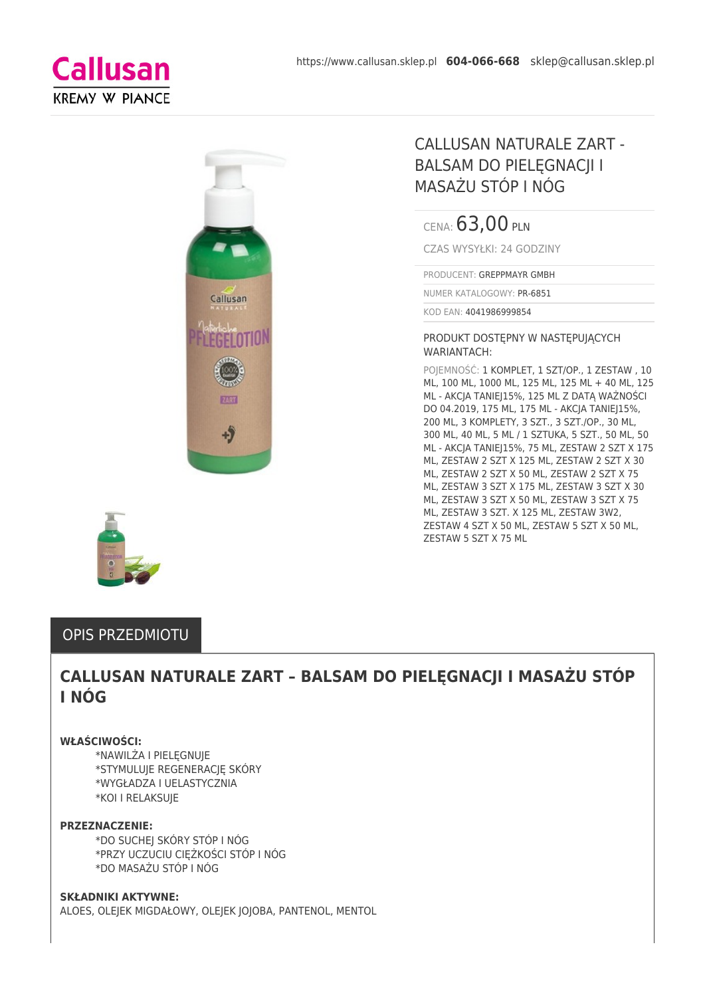



CENA: 63,00 PLN

CZAS WYSYŁKI: 24 GODZINY

PRODUCENT: GREPPMAYR GMBH

NUMER KATALOGOWY: PR-6851

KOD EAN: 4041986999854

#### PRODUKT DOSTĘPNY W NASTĘPUJĄCYCH WARIANTACH:

POJEMNOŚĆ: 1 KOMPLET, 1 SZT/OP., 1 ZESTAW , 10 ML, 100 ML, 1000 ML, 125 ML, 125 ML + 40 ML, 125 ML - AKCJA TANIEJ15%, 125 ML Z DATĄ WAŻNOŚCI DO 04.2019, 175 ML, 175 ML - AKCJA TANIEJ15%, 200 ML, 3 KOMPLETY, 3 SZT., 3 SZT./OP., 30 ML, 300 ML, 40 ML, 5 ML / 1 SZTUKA, 5 SZT., 50 ML, 50 ML - AKCJA TANIEJ15%, 75 ML, ZESTAW 2 SZT X 175 ML, ZESTAW 2 SZT X 125 ML, ZESTAW 2 SZT X 30 ML, ZESTAW 2 SZT X 50 ML, ZESTAW 2 SZT X 75 ML, ZESTAW 3 SZT X 175 ML, ZESTAW 3 SZT X 30 ML, ZESTAW 3 SZT X 50 ML, ZESTAW 3 SZT X 75 ML, ZESTAW 3 SZT. X 125 ML, ZESTAW 3W2, ZESTAW 4 SZT X 50 ML, ZESTAW 5 SZT X 50 ML, ZESTAW 5 SZT X 75 ML



# OPIS PRZEDMIOTU

# **CALLUSAN NATURALE ZART – BALSAM DO PIELĘGNACJI I MASAŻU STÓP I NÓG**

#### **WŁAŚCIWOŚCI:**

\*NAWILŻA I PIELĘGNUJE \*STYMULUJE REGENERACJĘ SKÓRY \*WYGŁADZA I UELASTYCZNIA \*KOI I RELAKSUJE

#### **PRZEZNACZENIE:**

\*DO SUCHEJ SKÓRY STÓP I NÓG \*PRZY UCZUCIU CIĘŻKOŚCI STÓP I NÓG \*DO MASAŻU STÓP I NÓG

#### **SKŁADNIKI AKTYWNE:**

ALOES, OLEJEK MIGDAŁOWY, OLEJEK JOJOBA, PANTENOL, MENTOL